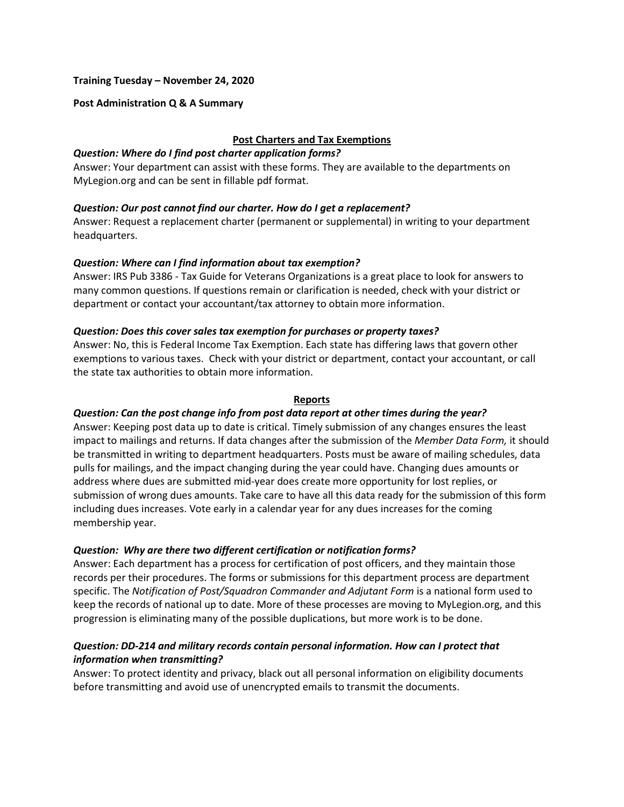### **Training Tuesday – November 24, 2020**

### **Post Administration Q & A Summary**

## **Post Charters and Tax Exemptions**

#### *Question: Where do I find post charter application forms?*

Answer: Your department can assist with these forms. They are available to the departments on MyLegion.org and can be sent in fillable pdf format.

### *Question: Our post cannot find our charter. How do I get a replacement?*

Answer: Request a replacement charter (permanent or supplemental) in writing to your department headquarters.

### *Question: Where can I find information about tax exemption?*

Answer: IRS Pub 3386 - Tax Guide for Veterans Organizations is a great place to look for answers to many common questions. If questions remain or clarification is needed, check with your district or department or contact your accountant/tax attorney to obtain more information.

### *Question: Does this cover sales tax exemption for purchases or property taxes?*

Answer: No, this is Federal Income Tax Exemption. Each state has differing laws that govern other exemptions to various taxes. Check with your district or department, contact your accountant, or call the state tax authorities to obtain more information.

#### **Reports**

### *Question: Can the post change info from post data report at other times during the year?*

Answer: Keeping post data up to date is critical. Timely submission of any changes ensures the least impact to mailings and returns. If data changes after the submission of the *Member Data Form,* it should be transmitted in writing to department headquarters. Posts must be aware of mailing schedules, data pulls for mailings, and the impact changing during the year could have. Changing dues amounts or address where dues are submitted mid-year does create more opportunity for lost replies, or submission of wrong dues amounts. Take care to have all this data ready for the submission of this form including dues increases. Vote early in a calendar year for any dues increases for the coming membership year.

#### *Question: Why are there two different certification or notification forms?*

Answer: Each department has a process for certification of post officers, and they maintain those records per their procedures. The forms or submissions for this department process are department specific. The *Notification of Post/Squadron Commander and Adjutant Form* is a national form used to keep the records of national up to date. More of these processes are moving to MyLegion.org, and this progression is eliminating many of the possible duplications, but more work is to be done.

## *Question: DD-214 and military records contain personal information. How can I protect that information when transmitting?*

Answer: To protect identity and privacy, black out all personal information on eligibility documents before transmitting and avoid use of unencrypted emails to transmit the documents.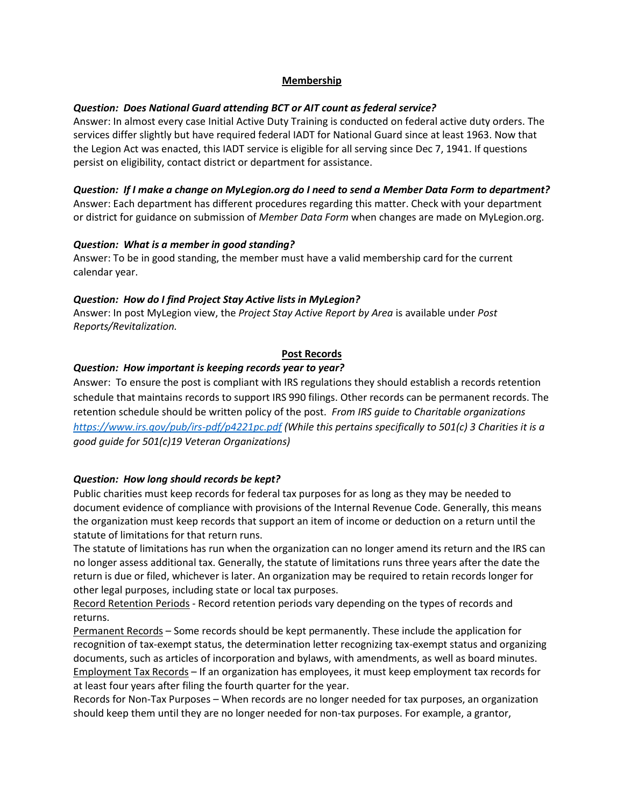## **Membership**

## *Question: Does National Guard attending BCT or AIT count as federal service?*

Answer: In almost every case Initial Active Duty Training is conducted on federal active duty orders. The services differ slightly but have required federal IADT for National Guard since at least 1963. Now that the Legion Act was enacted, this IADT service is eligible for all serving since Dec 7, 1941. If questions persist on eligibility, contact district or department for assistance.

# *Question: If I make a change on MyLegion.org do I need to send a Member Data Form to department?* Answer: Each department has different procedures regarding this matter. Check with your department

or district for guidance on submission of *Member Data Form* when changes are made on MyLegion.org.

## *Question: What is a member in good standing?*

Answer: To be in good standing, the member must have a valid membership card for the current calendar year.

## *Question: How do I find Project Stay Active lists in MyLegion?*

Answer: In post MyLegion view, the *Project Stay Active Report by Area* is available under *Post Reports/Revitalization.*

## **Post Records**

## *Question: How important is keeping records year to year?*

Answer: To ensure the post is compliant with IRS regulations they should establish a records retention schedule that maintains records to support IRS 990 filings. Other records can be permanent records. The retention schedule should be written policy of the post. *From IRS guide to Charitable organizations <https://www.irs.gov/pub/irs-pdf/p4221pc.pdf> (While this pertains specifically to 501(c) 3 Charities it is a good guide for 501(c)19 Veteran Organizations)*

# *Question: How long should records be kept?*

Public charities must keep records for federal tax purposes for as long as they may be needed to document evidence of compliance with provisions of the Internal Revenue Code. Generally, this means the organization must keep records that support an item of income or deduction on a return until the statute of limitations for that return runs.

The statute of limitations has run when the organization can no longer amend its return and the IRS can no longer assess additional tax. Generally, the statute of limitations runs three years after the date the return is due or filed, whichever is later. An organization may be required to retain records longer for other legal purposes, including state or local tax purposes.

Record Retention Periods - Record retention periods vary depending on the types of records and returns.

Permanent Records – Some records should be kept permanently. These include the application for recognition of tax-exempt status, the determination letter recognizing tax-exempt status and organizing documents, such as articles of incorporation and bylaws, with amendments, as well as board minutes. Employment Tax Records – If an organization has employees, it must keep employment tax records for at least four years after filing the fourth quarter for the year.

Records for Non-Tax Purposes – When records are no longer needed for tax purposes, an organization should keep them until they are no longer needed for non-tax purposes. For example, a grantor,